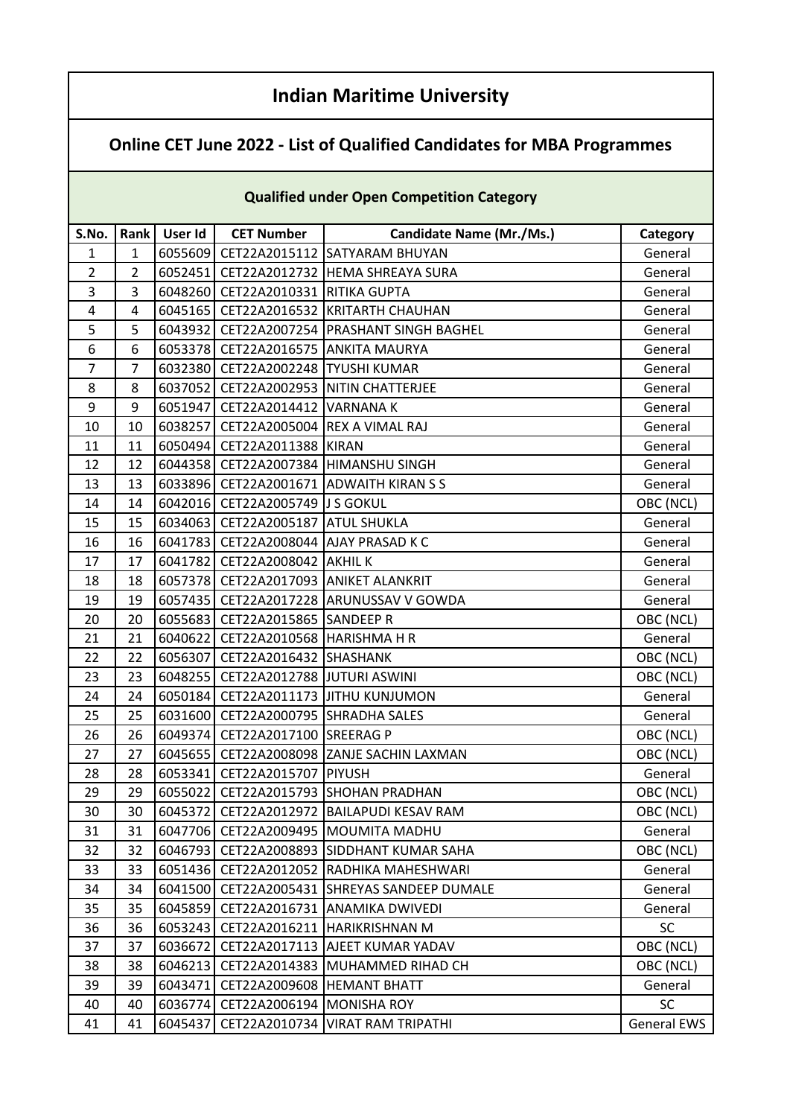## **Indian Maritime University**

## **Online CET June 2022 - List of Qualified Candidates for MBA Programmes**

| <b>Qualified under Open Competition Category</b> |                |         |                                   |                                             |                    |  |
|--------------------------------------------------|----------------|---------|-----------------------------------|---------------------------------------------|--------------------|--|
| S.No.                                            | Rank           | User Id | <b>CET Number</b>                 | <b>Candidate Name (Mr./Ms.)</b>             | Category           |  |
| $\mathbf{1}$                                     | $\mathbf{1}$   | 6055609 |                                   | CET22A2015112 SATYARAM BHUYAN               | General            |  |
| $\overline{2}$                                   | $\overline{2}$ | 6052451 |                                   | CET22A2012732 HEMA SHREAYA SURA             | General            |  |
| 3                                                | 3              | 6048260 | CET22A2010331 RITIKA GUPTA        |                                             | General            |  |
| 4                                                | 4              | 6045165 |                                   | CET22A2016532 KRITARTH CHAUHAN              | General            |  |
| 5                                                | 5              | 6043932 |                                   | CET22A2007254 PRASHANT SINGH BAGHEL         | General            |  |
| 6                                                | 6              | 6053378 |                                   | CET22A2016575 ANKITA MAURYA                 | General            |  |
| $\overline{7}$                                   | 7              | 6032380 | CET22A2002248 TYUSHI KUMAR        |                                             | General            |  |
| 8                                                | 8              | 6037052 |                                   | CET22A2002953 NITIN CHATTERJEE              | General            |  |
| 9                                                | 9              | 6051947 | CET22A2014412 VARNANA K           |                                             | General            |  |
| 10                                               | 10             | 6038257 | CET22A2005004 REX A VIMAL RAJ     |                                             | General            |  |
| 11                                               | 11             | 6050494 | CET22A2011388 KIRAN               |                                             | General            |  |
| 12                                               | 12             | 6044358 |                                   | CET22A2007384 HIMANSHU SINGH                | General            |  |
| 13                                               | 13             | 6033896 |                                   | CET22A2001671 ADWAITH KIRAN S S             | General            |  |
| 14                                               | 14             | 6042016 | CET22A2005749 J S GOKUL           |                                             | OBC (NCL)          |  |
| 15                                               | 15             |         | 6034063 CET22A2005187 ATUL SHUKLA |                                             | General            |  |
| 16                                               | 16             | 6041783 |                                   | CET22A2008044 AJAY PRASAD K C               | General            |  |
| 17                                               | 17             | 6041782 | <b>CET22A2008042 AKHILK</b>       |                                             | General            |  |
| 18                                               | 18             |         |                                   | 6057378   CET22A2017093   ANIKET ALANKRIT   | General            |  |
| 19                                               | 19             |         |                                   | 6057435   CET22A2017228   ARUNUSSAV V GOWDA | General            |  |
| 20                                               | 20             | 6055683 | CET22A2015865 SANDEEP R           |                                             | OBC (NCL)          |  |
| 21                                               | 21             | 6040622 | CET22A2010568 HARISHMA H R        |                                             | General            |  |
| 22                                               | 22             | 6056307 | CET22A2016432 SHASHANK            |                                             | OBC (NCL)          |  |
| 23                                               | 23             | 6048255 | CET22A2012788 JUTURI ASWINI       |                                             | OBC (NCL)          |  |
| 24                                               | 24             | 6050184 |                                   | CET22A2011173 JITHU KUNJUMON                | General            |  |
| 25                                               | 25             | 6031600 | CET22A2000795 SHRADHA SALES       |                                             | General            |  |
| 26                                               | 26             | 6049374 | CET22A2017100 SREERAG P           |                                             | OBC (NCL)          |  |
| 27                                               | 27             | 6045655 |                                   | CET22A2008098 ZANJE SACHIN LAXMAN           | OBC (NCL)          |  |
| 28                                               | 28             | 6053341 | CET22A2015707 PIYUSH              |                                             | General            |  |
| 29                                               | 29             |         |                                   | 6055022 CET22A2015793 SHOHAN PRADHAN        | OBC (NCL)          |  |
| 30                                               | 30             | 6045372 |                                   | CET22A2012972 BAILAPUDI KESAV RAM           | OBC (NCL)          |  |
| 31                                               | 31             | 6047706 |                                   | CET22A2009495   MOUMITA MADHU               | General            |  |
| 32                                               | 32             | 6046793 |                                   | CET22A2008893 SIDDHANT KUMAR SAHA           | OBC (NCL)          |  |
| 33                                               | 33             | 6051436 | CET22A2012052                     | RADHIKA MAHESHWARI                          | General            |  |
| 34                                               | 34             | 6041500 | CET22A2005431                     | <b>SHREYAS SANDEEP DUMALE</b>               | General            |  |
| 35                                               | 35             | 6045859 |                                   | CET22A2016731 ANAMIKA DWIVEDI               | General            |  |
| 36                                               | 36             | 6053243 | CET22A2016211                     | HARIKRISHNAN M                              | <b>SC</b>          |  |
| 37                                               | 37             | 6036672 |                                   | CET22A2017113 AJEET KUMAR YADAV             | OBC (NCL)          |  |
| 38                                               | 38             | 6046213 | CET22A2014383                     | MUHAMMED RIHAD CH                           | OBC (NCL)          |  |
| 39                                               | 39             | 6043471 | CET22A2009608  HEMANT BHATT       |                                             | General            |  |
| 40                                               | 40             | 6036774 | CET22A2006194 MONISHA ROY         |                                             | <b>SC</b>          |  |
| 41                                               | 41             | 6045437 | CET22A2010734                     | <b>VIRAT RAM TRIPATHI</b>                   | <b>General EWS</b> |  |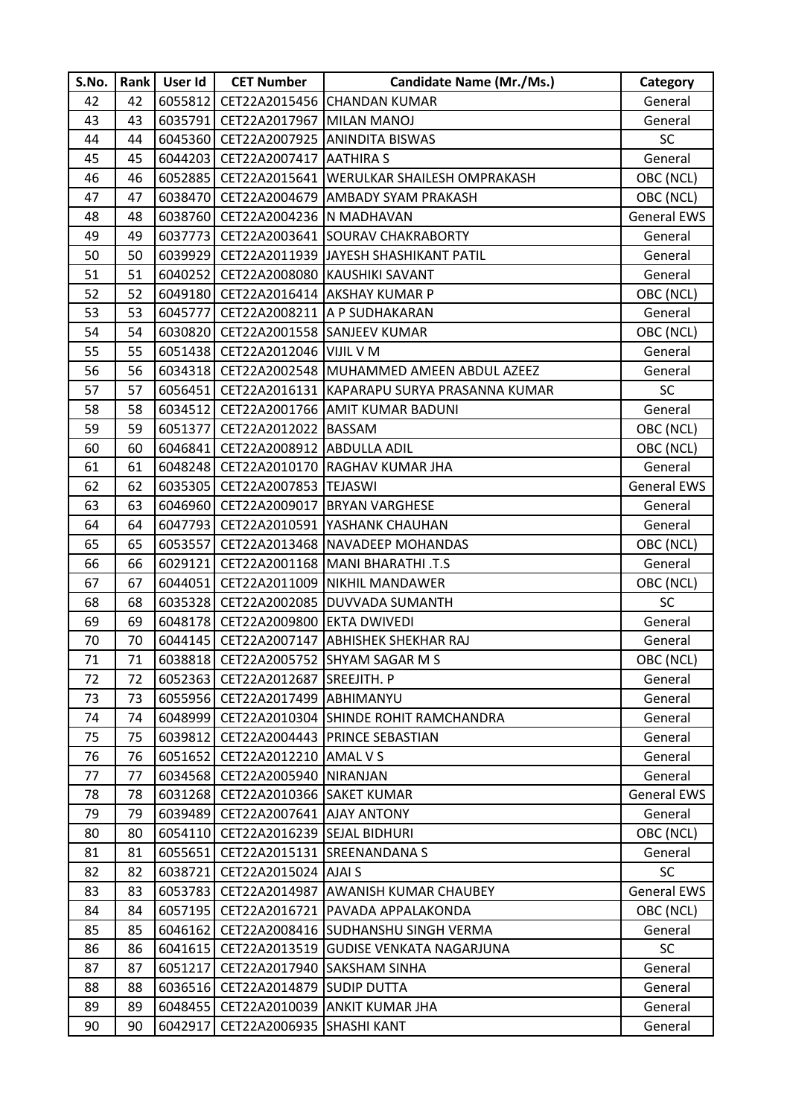| S.No. | Rank | User Id | <b>CET Number</b>                   | <b>Candidate Name (Mr./Ms.)</b>                       | Category           |
|-------|------|---------|-------------------------------------|-------------------------------------------------------|--------------------|
| 42    | 42   | 6055812 |                                     | CET22A2015456 CHANDAN KUMAR                           | General            |
| 43    | 43   | 6035791 | CET22A2017967 MILAN MANOJ           |                                                       | General            |
| 44    | 44   |         |                                     | 6045360 CET22A2007925 ANINDITA BISWAS                 | <b>SC</b>          |
| 45    | 45   |         | 6044203   CET22A2007417   AATHIRA S |                                                       | General            |
| 46    | 46   |         |                                     | 6052885   CET22A2015641   WERULKAR SHAILESH OMPRAKASH | OBC (NCL)          |
| 47    | 47   |         |                                     | 6038470 CET22A2004679 AMBADY SYAM PRAKASH             | OBC (NCL)          |
| 48    | 48   | 6038760 | CET22A2004236 N MADHAVAN            |                                                       | <b>General EWS</b> |
| 49    | 49   | 6037773 |                                     | CET22A2003641 SOURAV CHAKRABORTY                      | General            |
| 50    | 50   |         |                                     | 6039929 CET22A2011939 JAYESH SHASHIKANT PATIL         | General            |
| 51    | 51   |         |                                     | 6040252   CET22A2008080 KAUSHIKI SAVANT               | General            |
| 52    | 52   |         |                                     | 6049180   CET22A2016414   AKSHAY KUMAR P              | OBC (NCL)          |
| 53    | 53   | 6045777 |                                     | CET22A2008211 A P SUDHAKARAN                          | General            |
| 54    | 54   |         | 6030820 CET22A2001558 SANJEEV KUMAR |                                                       | OBC (NCL)          |
| 55    | 55   |         | 6051438 CET22A2012046 VIJIL V M     |                                                       | General            |
| 56    | 56   |         |                                     | 6034318   CET22A2002548   MUHAMMED AMEEN ABDUL AZEEZ  | General            |
| 57    | 57   | 6056451 |                                     | CET22A2016131 KAPARAPU SURYA PRASANNA KUMAR           | <b>SC</b>          |
| 58    | 58   | 6034512 |                                     | CET22A2001766 AMIT KUMAR BADUNI                       | General            |
| 59    | 59   |         | 6051377 CET22A2012022 BASSAM        |                                                       | OBC (NCL)          |
| 60    | 60   | 6046841 | CET22A2008912 ABDULLA ADIL          |                                                       | OBC (NCL)          |
| 61    | 61   |         |                                     | 6048248 CET22A2010170 RAGHAV KUMAR JHA                | General            |
| 62    | 62   | 6035305 | CET22A2007853 TEJASWI               |                                                       | <b>General EWS</b> |
| 63    | 63   | 6046960 |                                     | CET22A2009017 BRYAN VARGHESE                          | General            |
| 64    | 64   |         |                                     | 6047793   CET22A2010591   YASHANK CHAUHAN             | General            |
| 65    | 65   | 6053557 |                                     | CET22A2013468 NAVADEEP MOHANDAS                       | OBC (NCL)          |
| 66    | 66   |         |                                     | 6029121 CET22A2001168 MANI BHARATHI .T.S              | General            |
| 67    | 67   | 6044051 |                                     | CET22A2011009 NIKHIL MANDAWER                         | OBC (NCL)          |
| 68    | 68   |         |                                     | 6035328 CET22A2002085 DUVVADA SUMANTH                 | <b>SC</b>          |
| 69    | 69   |         | 6048178 CET22A2009800 EKTA DWIVEDI  |                                                       | General            |
| 70    | 70   |         |                                     | 6044145   CET22A2007147   ABHISHEK SHEKHAR RAJ        | General            |
| 71    | 71   |         |                                     | 6038818 CET22A2005752 SHYAM SAGAR M S                 | OBC (NCL)          |
| 72    | 72   |         | 6052363 CET22A2012687 SREEJITH. P   |                                                       | General            |
| 73    | 73   |         | 6055956 CET22A2017499 ABHIMANYU     |                                                       | General            |
| 74    | 74   | 6048999 |                                     | CET22A2010304 SHINDE ROHIT RAMCHANDRA                 | General            |
| 75    | 75   | 6039812 |                                     | CET22A2004443 PRINCE SEBASTIAN                        | General            |
| 76    | 76   | 6051652 | CET22A2012210 AMAL V S              |                                                       | General            |
| 77    | 77   | 6034568 | CET22A2005940 NIRANJAN              |                                                       | General            |
| 78    | 78   | 6031268 | CET22A2010366 SAKET KUMAR           |                                                       | <b>General EWS</b> |
| 79    | 79   | 6039489 | CET22A2007641 AJAY ANTONY           |                                                       | General            |
| 80    | 80   | 6054110 | CET22A2016239 SEJAL BIDHURI         |                                                       | OBC (NCL)          |
| 81    | 81   | 6055651 |                                     | CET22A2015131 SREENANDANA S                           | General            |
| 82    | 82   | 6038721 | CET22A2015024 AJAI S                |                                                       | <b>SC</b>          |
| 83    | 83   | 6053783 |                                     | CET22A2014987 AWANISH KUMAR CHAUBEY                   | <b>General EWS</b> |
| 84    | 84   | 6057195 |                                     | CET22A2016721   PAVADA APPALAKONDA                    | OBC (NCL)          |
| 85    | 85   |         |                                     | 6046162   CET22A2008416   SUDHANSHU SINGH VERMA       | General            |
| 86    | 86   | 6041615 |                                     | CET22A2013519 GUDISE VENKATA NAGARJUNA                | <b>SC</b>          |
| 87    | 87   | 6051217 | CET22A2017940 SAKSHAM SINHA         |                                                       | General            |
| 88    | 88   | 6036516 | CET22A2014879 SUDIP DUTTA           |                                                       | General            |
| 89    | 89   | 6048455 |                                     | CET22A2010039 ANKIT KUMAR JHA                         | General            |
| 90    | 90   | 6042917 | CET22A2006935 SHASHI KANT           |                                                       | General            |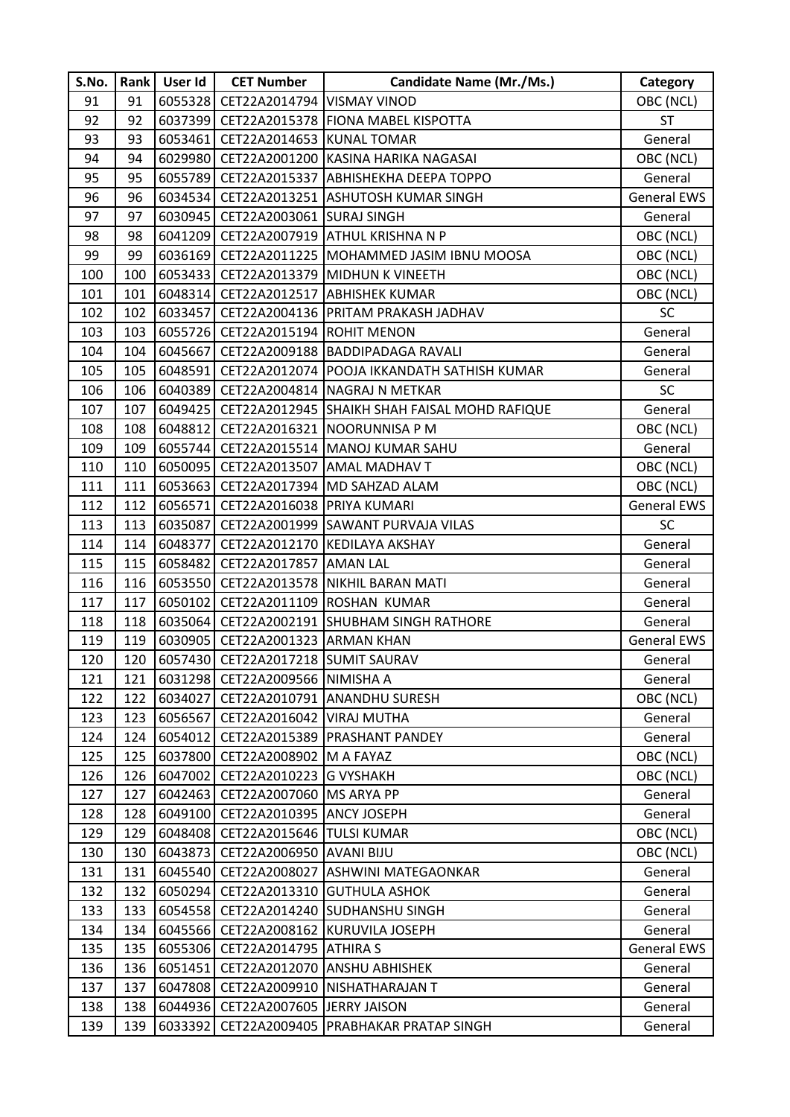| S.No. | Rank | User Id | <b>CET Number</b>                    | <b>Candidate Name (Mr./Ms.)</b>               | Category           |
|-------|------|---------|--------------------------------------|-----------------------------------------------|--------------------|
| 91    | 91   | 6055328 | CET22A2014794 VISMAY VINOD           |                                               | OBC (NCL)          |
| 92    | 92   | 6037399 |                                      | CET22A2015378 FIONA MABEL KISPOTTA            | <b>ST</b>          |
| 93    | 93   | 6053461 | CET22A2014653 KUNAL TOMAR            |                                               | General            |
| 94    | 94   | 6029980 |                                      | CET22A2001200 KASINA HARIKA NAGASAI           | OBC (NCL)          |
| 95    | 95   | 6055789 |                                      | CET22A2015337 ABHISHEKHA DEEPA TOPPO          | General            |
| 96    | 96   | 6034534 |                                      | CET22A2013251 ASHUTOSH KUMAR SINGH            | <b>General EWS</b> |
| 97    | 97   | 6030945 | CET22A2003061 SURAJ SINGH            |                                               | General            |
| 98    | 98   |         |                                      | 6041209 CET22A2007919 ATHUL KRISHNA N P       | OBC (NCL)          |
| 99    | 99   | 6036169 |                                      | CET22A2011225 MOHAMMED JASIM IBNU MOOSA       | OBC (NCL)          |
| 100   | 100  | 6053433 |                                      | CET22A2013379 MIDHUN K VINEETH                | OBC (NCL)          |
| 101   | 101  | 6048314 |                                      | CET22A2012517 ABHISHEK KUMAR                  | OBC (NCL)          |
| 102   | 102  | 6033457 |                                      | CET22A2004136 PRITAM PRAKASH JADHAV           | <b>SC</b>          |
| 103   | 103  |         | 6055726 CET22A2015194 ROHIT MENON    |                                               | General            |
| 104   | 104  | 6045667 |                                      | CET22A2009188 BADDIPADAGA RAVALI              | General            |
| 105   | 105  | 6048591 |                                      | CET22A2012074   POOJA IKKANDATH SATHISH KUMAR | General            |
| 106   | 106  | 6040389 |                                      | CET22A2004814 NAGRAJ N METKAR                 | <b>SC</b>          |
| 107   | 107  | 6049425 |                                      | CET22A2012945 SHAIKH SHAH FAISAL MOHD RAFIQUE | General            |
| 108   | 108  | 6048812 |                                      | CET22A2016321 NOORUNNISA P M                  | OBC (NCL)          |
| 109   | 109  |         |                                      | 6055744   CET22A2015514   MANOJ KUMAR SAHU    | General            |
| 110   | 110  | 6050095 |                                      | CET22A2013507 AMAL MADHAV T                   | OBC (NCL)          |
| 111   | 111  | 6053663 |                                      | CET22A2017394 MD SAHZAD ALAM                  | OBC (NCL)          |
| 112   | 112  | 6056571 | CET22A2016038 PRIYA KUMARI           |                                               | <b>General EWS</b> |
| 113   | 113  | 6035087 |                                      | CET22A2001999 SAWANT PURVAJA VILAS            | <b>SC</b>          |
| 114   | 114  | 6048377 |                                      | CET22A2012170 KEDILAYA AKSHAY                 | General            |
| 115   | 115  | 6058482 | CET22A2017857 AMAN LAL               |                                               | General            |
| 116   | 116  | 6053550 |                                      | CET22A2013578 NIKHIL BARAN MATI               | General            |
| 117   | 117  |         |                                      | 6050102 CET22A2011109 ROSHAN KUMAR            | General            |
| 118   | 118  | 6035064 |                                      | CET22A2002191 SHUBHAM SINGH RATHORE           | General            |
| 119   | 119  |         | 6030905   CET22A2001323   ARMAN KHAN |                                               | <b>General EWS</b> |
| 120   | 120  |         | 6057430 CET22A2017218 SUMIT SAURAV   |                                               | General            |
| 121   | 121  |         | 6031298 CET22A2009566 NIMISHA A      |                                               | General            |
| 122   | 122  | 6034027 |                                      | CET22A2010791 ANANDHU SURESH                  | OBC (NCL)          |
| 123   | 123  | 6056567 | CET22A2016042 VIRAJ MUTHA            |                                               | General            |
| 124   | 124  | 6054012 |                                      | CET22A2015389 PRASHANT PANDEY                 | General            |
| 125   | 125  | 6037800 | CET22A2008902 M A FAYAZ              |                                               | OBC (NCL)          |
| 126   | 126  | 6047002 | CET22A2010223 G VYSHAKH              |                                               | OBC (NCL)          |
| 127   | 127  | 6042463 | CET22A2007060 MS ARYA PP             |                                               | General            |
| 128   | 128  | 6049100 | CET22A2010395 ANCY JOSEPH            |                                               | General            |
| 129   | 129  | 6048408 | CET22A2015646 TULSI KUMAR            |                                               | OBC (NCL)          |
| 130   | 130  | 6043873 | CET22A2006950 AVANI BIJU             |                                               | OBC (NCL)          |
| 131   | 131  | 6045540 |                                      | CET22A2008027 ASHWINI MATEGAONKAR             | General            |
| 132   | 132  | 6050294 |                                      | CET22A2013310 GUTHULA ASHOK                   | General            |
| 133   | 133  | 6054558 |                                      | CET22A2014240 SUDHANSHU SINGH                 | General            |
| 134   | 134  | 6045566 |                                      | CET22A2008162 KURUVILA JOSEPH                 | General            |
| 135   | 135  | 6055306 | CET22A2014795 ATHIRA S               |                                               | <b>General EWS</b> |
| 136   | 136  | 6051451 |                                      | CET22A2012070 ANSHU ABHISHEK                  | General            |
| 137   | 137  | 6047808 |                                      | CET22A2009910 NISHATHARAJAN T                 | General            |
| 138   | 138  | 6044936 | CET22A2007605 JERRY JAISON           |                                               | General            |
| 139   | 139  | 6033392 |                                      | CET22A2009405 PRABHAKAR PRATAP SINGH          | General            |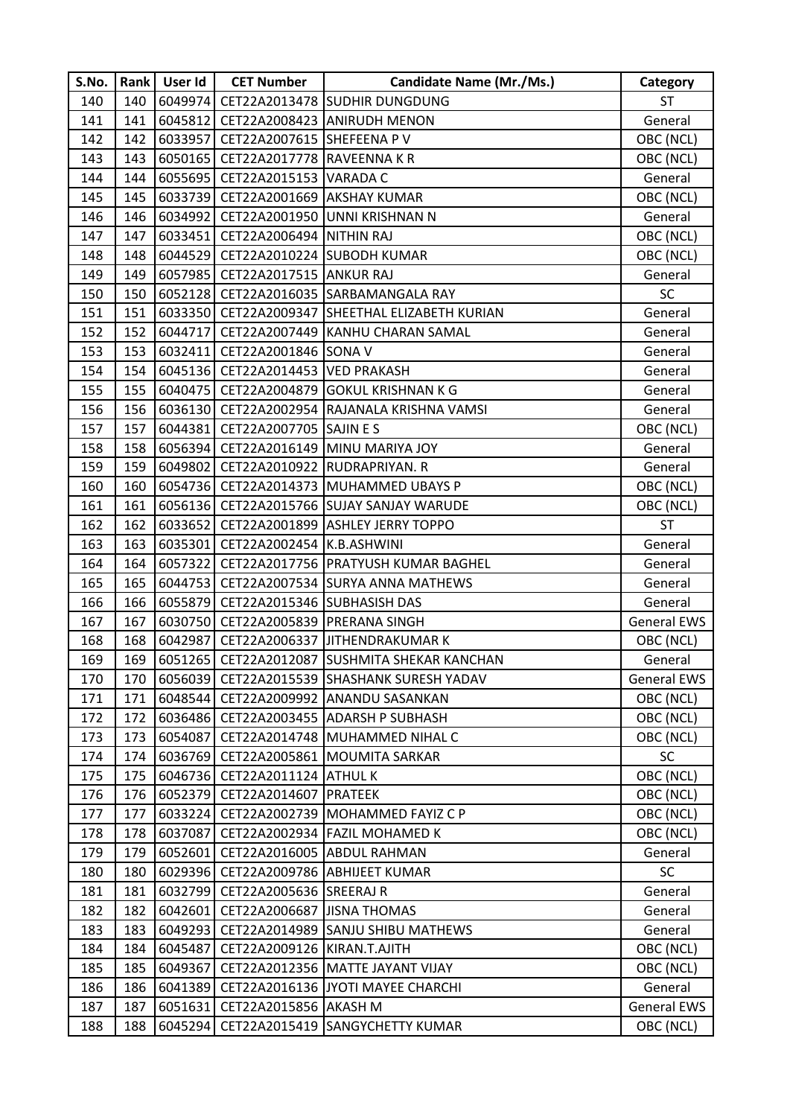| S.No. |     | Rank   User Id | <b>CET Number</b>                      | <b>Candidate Name (Mr./Ms.)</b>                 | Category           |
|-------|-----|----------------|----------------------------------------|-------------------------------------------------|--------------------|
| 140   | 140 | 6049974        |                                        | CET22A2013478 SUDHIR DUNGDUNG                   | <b>ST</b>          |
| 141   | 141 | 6045812        |                                        | CET22A2008423 ANIRUDH MENON                     | General            |
| 142   | 142 | 6033957        | CET22A2007615 SHEFEENA PV              |                                                 | OBC (NCL)          |
| 143   | 143 |                | 6050165   CET22A2017778   RAVEENNA K R |                                                 | OBC (NCL)          |
| 144   | 144 |                | 6055695   CET22A2015153   VARADA C     |                                                 | General            |
| 145   | 145 |                | 6033739 CET22A2001669 AKSHAY KUMAR     |                                                 | OBC (NCL)          |
| 146   | 146 | 6034992        |                                        | CET22A2001950 UNNI KRISHNAN N                   | General            |
| 147   | 147 |                | 6033451 CET22A2006494 NITHIN RAJ       |                                                 | OBC (NCL)          |
| 148   | 148 | 6044529        |                                        | CET22A2010224 SUBODH KUMAR                      | OBC (NCL)          |
| 149   | 149 |                | 6057985   CET22A2017515   ANKUR RAJ    |                                                 | General            |
| 150   | 150 |                |                                        | 6052128 CET22A2016035 SARBAMANGALA RAY          | <b>SC</b>          |
| 151   | 151 | 6033350        |                                        | CET22A2009347 SHEETHAL ELIZABETH KURIAN         | General            |
| 152   | 152 |                |                                        | 6044717 CET22A2007449 KANHU CHARAN SAMAL        | General            |
| 153   | 153 | 6032411        | CET22A2001846 SONA V                   |                                                 | General            |
| 154   | 154 |                | 6045136 CET22A2014453 VED PRAKASH      |                                                 | General            |
| 155   | 155 | 6040475        |                                        | CET22A2004879 GOKUL KRISHNAN K G                | General            |
| 156   | 156 |                |                                        | 6036130 CET22A2002954 RAJANALA KRISHNA VAMSI    | General            |
| 157   | 157 | 6044381        | CET22A2007705 SAJIN E S                |                                                 | OBC (NCL)          |
| 158   | 158 |                |                                        | 6056394   CET22A2016149   MINU MARIYA JOY       | General            |
| 159   | 159 |                | 6049802 CET22A2010922 RUDRAPRIYAN. R   |                                                 | General            |
| 160   | 160 | 6054736        |                                        | CET22A2014373 MUHAMMED UBAYS P                  | OBC (NCL)          |
| 161   | 161 |                |                                        | 6056136 CET22A2015766 SUJAY SANJAY WARUDE       | OBC (NCL)          |
| 162   | 162 | 6033652        |                                        | CET22A2001899 ASHLEY JERRY TOPPO                | ST                 |
| 163   | 163 | 6035301        | CET22A2002454 K.B.ASHWINI              |                                                 | General            |
| 164   | 164 | 6057322        |                                        | CET22A2017756 PRATYUSH KUMAR BAGHEL             | General            |
| 165   | 165 | 6044753        |                                        | CET22A2007534 SURYA ANNA MATHEWS                | General            |
| 166   | 166 |                | 6055879 CET22A2015346 SUBHASISH DAS    |                                                 | General            |
| 167   | 167 | 6030750        | CET22A2005839 PRERANA SINGH            |                                                 | <b>General EWS</b> |
| 168   | 168 | 6042987        |                                        | CET22A2006337 JITHENDRAKUMAR K                  | OBC (NCL)          |
| 169   | 169 |                |                                        | 6051265   CET22A2012087 SUSHMITA SHEKAR KANCHAN | General            |
| 170   | 170 |                |                                        | 6056039 CET22A2015539 SHASHANK SURESH YADAV     | <b>General EWS</b> |
| 171   | 171 |                |                                        | 6048544 CET22A2009992 ANANDU SASANKAN           | OBC (NCL)          |
| 172   | 172 | 6036486        |                                        | CET22A2003455 ADARSH P SUBHASH                  | OBC (NCL)          |
| 173   | 173 | 6054087        |                                        | CET22A2014748 MUHAMMED NIHAL C                  | OBC (NCL)          |
| 174   | 174 | 6036769        |                                        | CET22A2005861 MOUMITA SARKAR                    | <b>SC</b>          |
| 175   | 175 |                | 6046736 CET22A2011124 ATHUL K          |                                                 | OBC (NCL)          |
| 176   | 176 | 6052379        | CET22A2014607   PRATEEK                |                                                 | OBC (NCL)          |
| 177   | 177 | 6033224        |                                        | CET22A2002739 MOHAMMED FAYIZ C P                | OBC (NCL)          |
| 178   | 178 | 6037087        |                                        | CET22A2002934 FAZIL MOHAMED K                   | OBC (NCL)          |
| 179   | 179 | 6052601        |                                        | CET22A2016005 ABDUL RAHMAN                      | General            |
| 180   | 180 |                |                                        | 6029396   CET22A2009786   ABHIJEET KUMAR        | <b>SC</b>          |
| 181   | 181 | 6032799        | CET22A2005636 SREERAJ R                |                                                 | General            |
| 182   | 182 | 6042601        | CET22A2006687 JISNA THOMAS             |                                                 | General            |
| 183   | 183 | 6049293        |                                        | CET22A2014989 SANJU SHIBU MATHEWS               | General            |
| 184   | 184 | 6045487        | CET22A2009126 KIRAN.T.AJITH            |                                                 | OBC (NCL)          |
| 185   | 185 | 6049367        |                                        | CET22A2012356 MATTE JAYANT VIJAY                | OBC (NCL)          |
| 186   | 186 | 6041389        |                                        | CET22A2016136 JYOTI MAYEE CHARCHI               | General            |
| 187   | 187 | 6051631        | CET22A2015856 AKASH M                  |                                                 | <b>General EWS</b> |
| 188   | 188 | 6045294        |                                        | CET22A2015419 SANGYCHETTY KUMAR                 | OBC (NCL)          |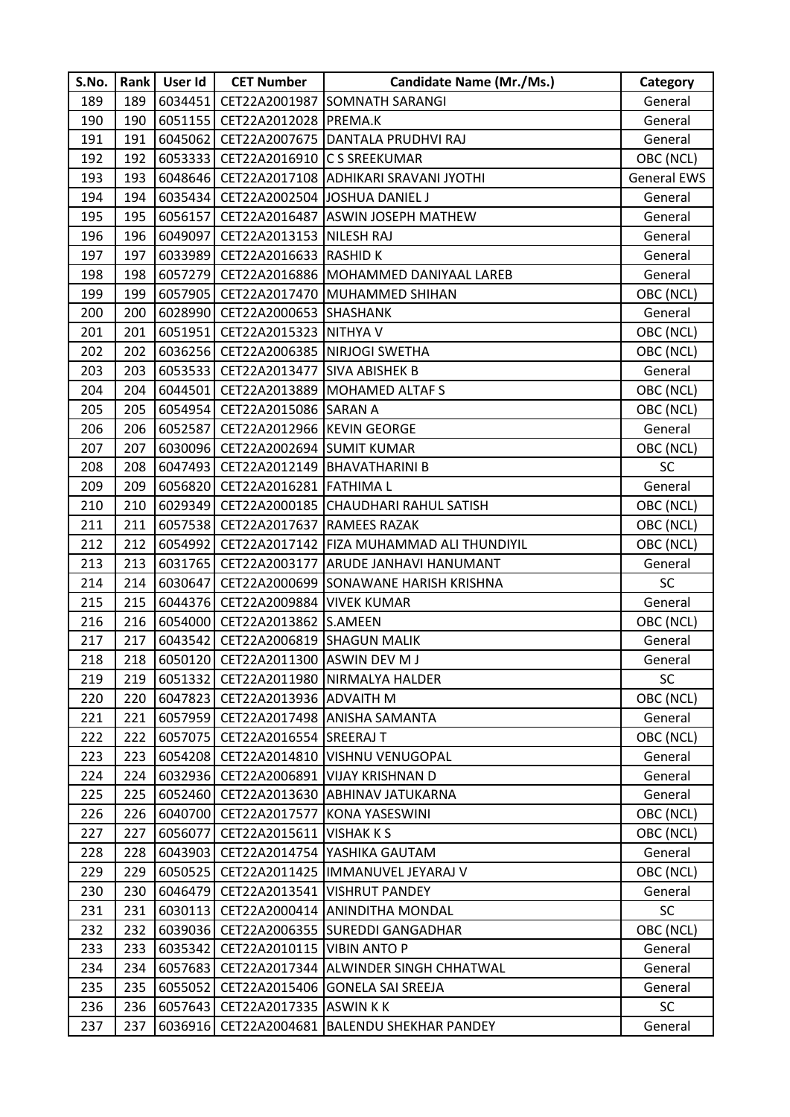| S.No. | Rank | User Id | <b>CET Number</b>                      | <b>Candidate Name (Mr./Ms.)</b>                   | Category           |
|-------|------|---------|----------------------------------------|---------------------------------------------------|--------------------|
| 189   | 189  |         |                                        | 6034451 CET22A2001987 SOMNATH SARANGI             | General            |
| 190   | 190  | 6051155 | CET22A2012028 PREMA.K                  |                                                   | General            |
| 191   | 191  |         |                                        | 6045062 CET22A2007675 DANTALA PRUDHVI RAJ         | General            |
| 192   | 192  |         | 6053333 CET22A2016910 C S SREEKUMAR    |                                                   | OBC (NCL)          |
| 193   | 193  |         |                                        | 6048646   CET22A2017108   ADHIKARI SRAVANI JYOTHI | <b>General EWS</b> |
| 194   | 194  |         |                                        | 6035434 CET22A2002504 JOSHUA DANIEL J             | General            |
| 195   | 195  | 6056157 |                                        | CET22A2016487 ASWIN JOSEPH MATHEW                 | General            |
| 196   | 196  | 6049097 | CET22A2013153 NILESH RAJ               |                                                   | General            |
| 197   | 197  |         | 6033989 CET22A2016633 RASHID K         |                                                   | General            |
| 198   | 198  |         |                                        | 6057279 CET22A2016886 MOHAMMED DANIYAAL LAREB     | General            |
| 199   | 199  | 6057905 |                                        | CET22A2017470 MUHAMMED SHIHAN                     | OBC (NCL)          |
| 200   | 200  | 6028990 | CET22A2000653 SHASHANK                 |                                                   | General            |
| 201   | 201  | 6051951 | CET22A2015323 NITHYA V                 |                                                   | OBC (NCL)          |
| 202   | 202  |         |                                        | 6036256 CET22A2006385 NIRJOGI SWETHA              | OBC (NCL)          |
| 203   | 203  |         | 6053533 CET22A2013477 SIVA ABISHEK B   |                                                   | General            |
| 204   | 204  | 6044501 |                                        | CET22A2013889 MOHAMED ALTAF S                     | OBC (NCL)          |
| 205   | 205  |         | 6054954 CET22A2015086 SARAN A          |                                                   | OBC (NCL)          |
| 206   | 206  |         | 6052587 CET22A2012966 KEVIN GEORGE     |                                                   | General            |
| 207   | 207  |         | 6030096 CET22A2002694 SUMIT KUMAR      |                                                   | OBC (NCL)          |
| 208   | 208  |         |                                        | 6047493 CET22A2012149 BHAVATHARINI B              | <b>SC</b>          |
| 209   | 209  | 6056820 | CET22A2016281 FATHIMA L                |                                                   | General            |
| 210   | 210  |         |                                        | 6029349 CET22A2000185 CHAUDHARI RAHUL SATISH      | OBC (NCL)          |
| 211   | 211  |         | 6057538   CET22A2017637   RAMEES RAZAK |                                                   | OBC (NCL)          |
| 212   | 212  | 6054992 |                                        | CET22A2017142   FIZA MUHAMMAD ALI THUNDIYIL       | OBC (NCL)          |
| 213   | 213  | 6031765 |                                        | CET22A2003177 ARUDE JANHAVI HANUMANT              | General            |
| 214   | 214  | 6030647 |                                        | CET22A2000699 SONAWANE HARISH KRISHNA             | <b>SC</b>          |
| 215   | 215  |         | 6044376 CET22A2009884 VIVEK KUMAR      |                                                   | General            |
| 216   | 216  |         | 6054000 CET22A2013862 S.AMEEN          |                                                   | OBC (NCL)          |
| 217   | 217  |         | 6043542 CET22A2006819 SHAGUN MALIK     |                                                   | General            |
| 218   | 218  |         | 6050120 CET22A2011300 ASWIN DEV M J    |                                                   | General            |
| 219   | 219  |         |                                        | 6051332   CET22A2011980   NIRMALYA HALDER         | <b>SC</b>          |
| 220   | 220  |         | 6047823 CET22A2013936 ADVAITH M        |                                                   | OBC (NCL)          |
| 221   | 221  | 6057959 |                                        | CET22A2017498 ANISHA SAMANTA                      | General            |
| 222   | 222  | 6057075 | CET22A2016554 SREERAJ T                |                                                   | OBC (NCL)          |
| 223   | 223  |         |                                        | 6054208 CET22A2014810 VISHNU VENUGOPAL            | General            |
| 224   | 224  |         |                                        | 6032936   CET22A2006891   VIJAY KRISHNAN D        | General            |
| 225   | 225  |         |                                        | 6052460 CET22A2013630 ABHINAV JATUKARNA           | General            |
| 226   | 226  | 6040700 |                                        | CET22A2017577 KONA YASESWINI                      | OBC (NCL)          |
| 227   | 227  | 6056077 | <b>CET22A2015611 VISHAKKS</b>          |                                                   | OBC (NCL)          |
| 228   | 228  | 6043903 |                                        | CET22A2014754 YASHIKA GAUTAM                      | General            |
| 229   | 229  |         |                                        | 6050525   CET22A2011425  IMMANUVEL JEYARAJ V      | OBC (NCL)          |
| 230   | 230  | 6046479 |                                        | CET22A2013541  VISHRUT PANDEY                     | General            |
| 231   | 231  | 6030113 |                                        | CET22A2000414 ANINDITHA MONDAL                    | <b>SC</b>          |
| 232   | 232  |         |                                        | 6039036   CET22A2006355   SUREDDI GANGADHAR       | OBC (NCL)          |
| 233   | 233  | 6035342 | CET22A2010115 VIBIN ANTO P             |                                                   | General            |
| 234   | 234  | 6057683 |                                        | CET22A2017344 ALWINDER SINGH CHHATWAL             | General            |
| 235   | 235  | 6055052 |                                        | CET22A2015406 GONELA SAI SREEJA                   | General            |
| 236   | 236  | 6057643 | CET22A2017335 ASWIN KK                 |                                                   | <b>SC</b>          |
| 237   | 237  | 6036916 |                                        | CET22A2004681 BALENDU SHEKHAR PANDEY              | General            |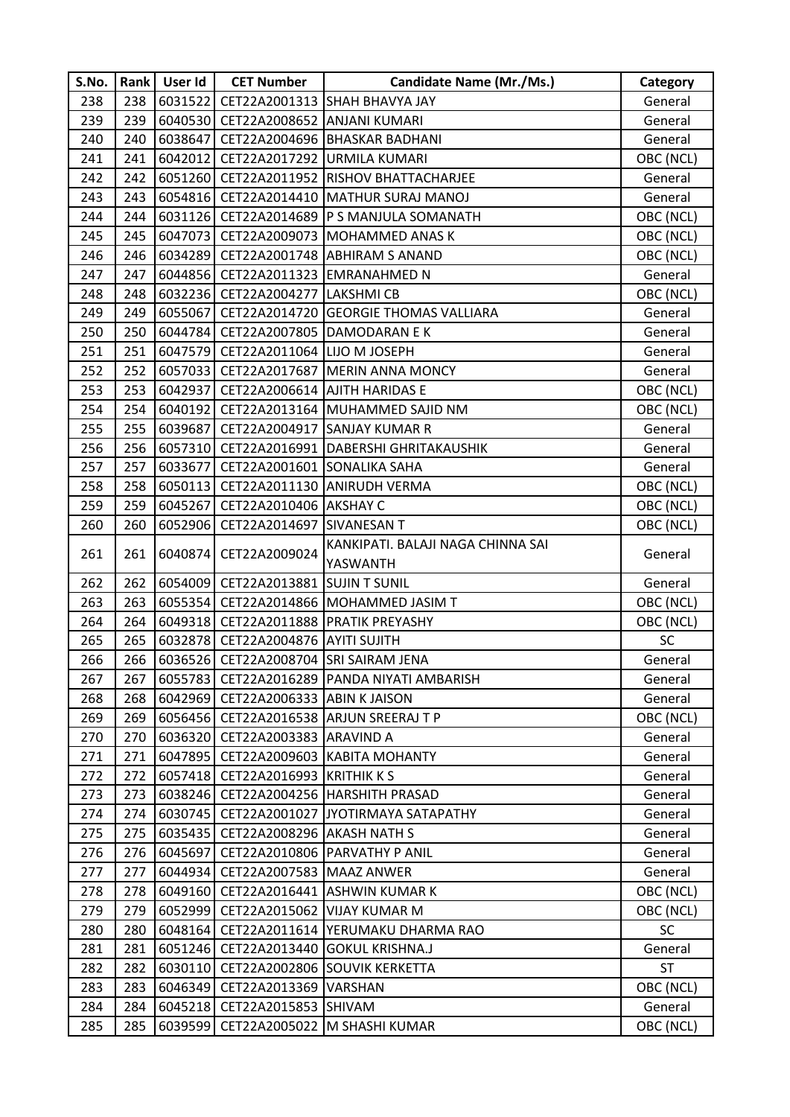| S.No. |     | Rank   User Id | <b>CET Number</b>                     | <b>Candidate Name (Mr./Ms.)</b>             | Category  |
|-------|-----|----------------|---------------------------------------|---------------------------------------------|-----------|
| 238   | 238 | 6031522        |                                       | CET22A2001313 SHAH BHAVYA JAY               | General   |
| 239   | 239 | 6040530        | CET22A2008652 ANJANI KUMARI           |                                             | General   |
| 240   | 240 | 6038647        |                                       | CET22A2004696 BHASKAR BADHANI               | General   |
| 241   | 241 | 6042012        | CET22A2017292 URMILA KUMARI           |                                             | OBC (NCL) |
| 242   | 242 |                |                                       | 6051260 CET22A2011952 RISHOV BHATTACHARJEE  | General   |
| 243   | 243 |                |                                       | 6054816 CET22A2014410 MATHUR SURAJ MANOJ    | General   |
| 244   | 244 | 6031126        |                                       | CET22A2014689 P S MANJULA SOMANATH          | OBC (NCL) |
| 245   | 245 | 6047073        |                                       | CET22A2009073 MOHAMMED ANAS K               | OBC (NCL) |
| 246   | 246 | 6034289        |                                       | CET22A2001748 ABHIRAM S ANAND               | OBC (NCL) |
| 247   | 247 |                |                                       | 6044856   CET22A2011323 EMRANAHMED N        | General   |
| 248   | 248 |                | 6032236 CET22A2004277 LAKSHMI CB      |                                             | OBC (NCL) |
| 249   | 249 | 6055067        |                                       | CET22A2014720 GEORGIE THOMAS VALLIARA       | General   |
| 250   | 250 |                |                                       | 6044784 CET22A2007805 DAMODARAN E K         | General   |
| 251   | 251 | 6047579        | CET22A2011064 LIJO M JOSEPH           |                                             | General   |
| 252   | 252 |                |                                       | 6057033 CET22A2017687 MERIN ANNA MONCY      | General   |
| 253   | 253 | 6042937        |                                       | CET22A2006614 AJITH HARIDAS E               | OBC (NCL) |
| 254   | 254 | 6040192        |                                       | CET22A2013164 MUHAMMED SAJID NM             | OBC (NCL) |
| 255   | 255 | 6039687        |                                       | CET22A2004917 SANJAY KUMAR R                | General   |
| 256   | 256 | 6057310        |                                       | CET22A2016991   DABERSHI GHRITAKAUSHIK      | General   |
| 257   | 257 | 6033677        | CET22A2001601 SONALIKA SAHA           |                                             | General   |
| 258   | 258 | 6050113        |                                       | CET22A2011130 ANIRUDH VERMA                 | OBC (NCL) |
| 259   | 259 | 6045267        | CET22A2010406 AKSHAY C                |                                             | OBC (NCL) |
| 260   | 260 | 6052906        | CET22A2014697 SIVANESAN T             |                                             | OBC (NCL) |
| 261   | 261 | 6040874        | CET22A2009024                         | KANKIPATI. BALAJI NAGA CHINNA SAI           | General   |
|       |     |                |                                       | YASWANTH                                    |           |
| 262   | 262 | 6054009        | CET22A2013881 SUJIN T SUNIL           |                                             | General   |
| 263   | 263 |                |                                       | 6055354 CET22A2014866 MOHAMMED JASIM T      | OBC (NCL) |
| 264   | 264 | 6049318        |                                       | CET22A2011888 PRATIK PREYASHY               | OBC (NCL) |
| 265   | 265 |                | 6032878 CET22A2004876 AYITI SUJITH    |                                             | SC        |
| 266   | 266 |                | 6036526 CET22A2008704 SRI SAIRAM JENA |                                             | General   |
| 267   | 267 |                |                                       | 6055783 CET22A2016289 PANDA NIYATI AMBARISH | General   |
| 268   | 268 |                | 6042969 CET22A2006333 ABIN K JAISON   |                                             | General   |
| 269   | 269 | 6056456        |                                       | CET22A2016538 ARJUN SREERAJ T P             | OBC (NCL) |
| 270   | 270 | 6036320        | CET22A2003383 ARAVIND A               |                                             | General   |
| 271   | 271 | 6047895        |                                       | CET22A2009603 KABITA MOHANTY                | General   |
| 272   | 272 |                | 6057418 CET22A2016993 KRITHIK K S     |                                             | General   |
| 273   | 273 | 6038246        |                                       | CET22A2004256 HARSHITH PRASAD               | General   |
| 274   | 274 | 6030745        | CET22A2001027                         | JYOTIRMAYA SATAPATHY                        | General   |
| 275   | 275 | 6035435        | CET22A2008296 AKASH NATH S            |                                             | General   |
| 276   | 276 | 6045697        |                                       | CET22A2010806 PARVATHY P ANIL               | General   |
| 277   | 277 | 6044934        | CET22A2007583 MAAZ ANWER              |                                             | General   |
| 278   | 278 | 6049160        |                                       | CET22A2016441 ASHWIN KUMAR K                | OBC (NCL) |
| 279   | 279 | 6052999        | CET22A2015062 VIJAY KUMAR M           |                                             | OBC (NCL) |
| 280   | 280 | 6048164        |                                       | CET22A2011614 YERUMAKU DHARMA RAO           | <b>SC</b> |
| 281   | 281 | 6051246        |                                       | CET22A2013440 GOKUL KRISHNA.J               | General   |
| 282   | 282 | 6030110        |                                       | CET22A2002806 SOUVIK KERKETTA               | <b>ST</b> |
| 283   | 283 | 6046349        | CET22A2013369 VARSHAN                 |                                             | OBC (NCL) |
| 284   | 284 | 6045218        | CET22A2015853 SHIVAM                  |                                             | General   |
| 285   | 285 | 6039599        |                                       | CET22A2005022 M SHASHI KUMAR                | OBC (NCL) |